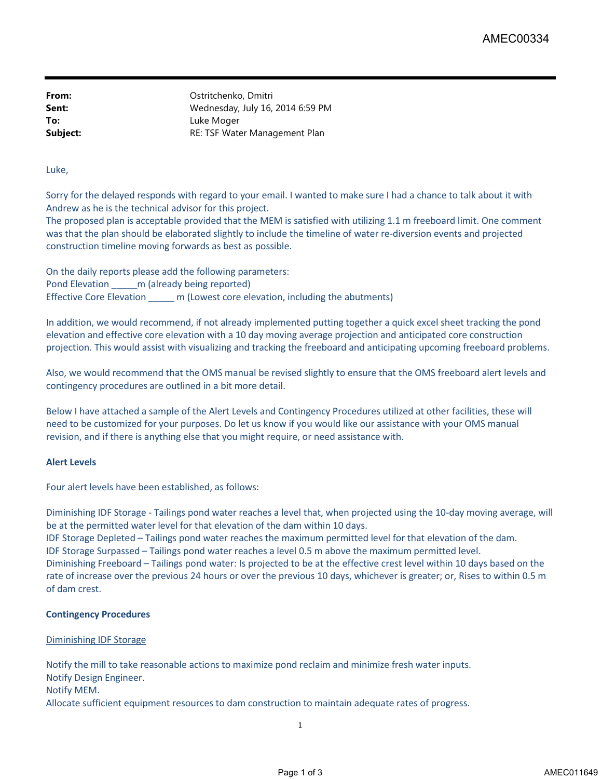**From:** Ostritchenko, Dmitri **Sent:** Wednesday, July 16, 2014 6:59 PM **To:** Luke Moger **Subject:** RE: TSF Water Management Plan

## Luke,

Sorry for the delayed responds with regard to your email. I wanted to make sure I had a chance to talk about it with Andrew as he is the technical advisor for this project.

The proposed plan is acceptable provided that the MEM is satisfied with utilizing 1.1 m freeboard limit. One comment was that the plan should be elaborated slightly to include the timeline of water re-diversion events and projected construction timeline moving forwards as best as possible.

On the daily reports please add the following parameters: Pond Elevation \_\_\_\_\_ m (already being reported) Effective Core Elevation \_\_\_\_\_ m (Lowest core elevation, including the abutments)

In addition, we would recommend, if not already implemented putting together a quick excel sheet tracking the pond elevation and effective core elevation with a 10 day moving average projection and anticipated core construction projection. This would assist with visualizing and tracking the freeboard and anticipating upcoming freeboard problems.

Also, we would recommend that the OMS manual be revised slightly to ensure that the OMS freeboard alert levels and contingency procedures are outlined in a bit more detail.

Below I have attached a sample of the Alert Levels and Contingency Procedures utilized at other facilities, these will need to be customized for your purposes. Do let us know if you would like our assistance with your OMS manual revision, and if there is anything else that you might require, or need assistance with.

### **Alert Levels**

Four alert levels have been established, as follows:

Diminishing IDF Storage - Tailings pond water reaches a level that, when projected using the 10-day moving average, will be at the permitted water level for that elevation of the dam within 10 days.

IDF Storage Depleted – Tailings pond water reaches the maximum permitted level for that elevation of the dam. IDF Storage Surpassed – Tailings pond water reaches a level 0.5 m above the maximum permitted level. Diminishing Freeboard – Tailings pond water: Is projected to be at the effective crest level within 10 days based on the rate of increase over the previous 24 hours or over the previous 10 days, whichever is greater; or, Rises to within 0.5 m of dam crest.

# **Contingency Procedures**

### Diminishing IDF Storage

Notify the mill to take reasonable actions to maximize pond reclaim and minimize fresh water inputs. Notify Design Engineer. Notify MEM. Allocate sufficient equipment resources to dam construction to maintain adequate rates of progress.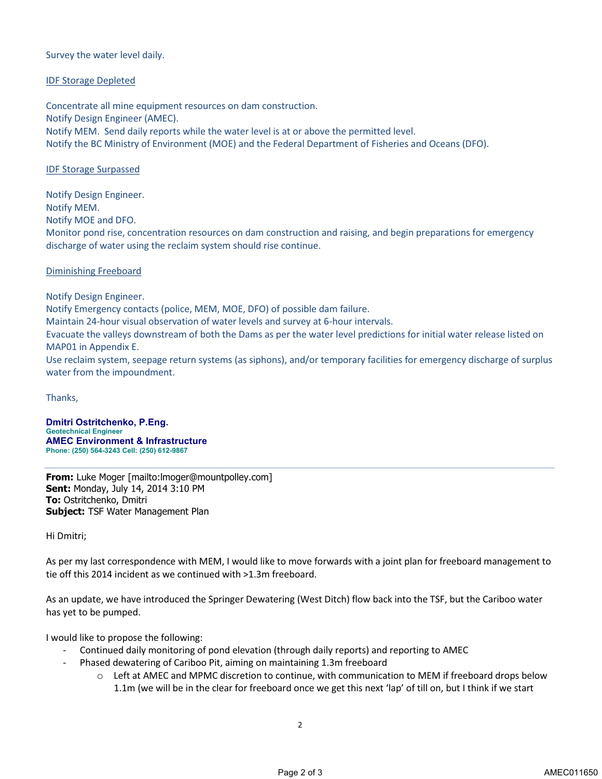## Survey the water level daily.

## IDF Storage Depleted

Concentrate all mine equipment resources on dam construction. Notify Design Engineer (AMEC). Notify MEM. Send daily reports while the water level is at or above the permitted level. Notify the BC Ministry of Environment (MOE) and the Federal Department of Fisheries and Oceans (DFO).

## IDF Storage Surpassed

Notify Design Engineer. Notify MEM. Notify MOE and DFO. Monitor pond rise, concentration resources on dam construction and raising, and begin preparations for emergency discharge of water using the reclaim system should rise continue.

### Diminishing Freeboard

Notify Design Engineer.

Notify Emergency contacts (police, MEM, MOE, DFO) of possible dam failure.

Maintain 24-hour visual observation of water levels and survey at 6-hour intervals.

Evacuate the valleys downstream of both the Dams as per the water level predictions for initial water release listed on MAP01 in Appendix E.

Use reclaim system, seepage return systems (as siphons), and/or temporary facilities for emergency discharge of surplus water from the impoundment.

Thanks,

**Dmitri Ostritchenko, P.Eng. Geotechnical Engineer AMEC Environment & Infrastructure Phone: (250) 564-3243 Cell: (250) 612-9867**

**From:** Luke Moger [mailto:lmoger@mountpolley.com] **Sent:** Monday, July 14, 2014 3:10 PM **To:** Ostritchenko, Dmitri **Subject:** TSF Water Management Plan

Hi Dmitri;

As per my last correspondence with MEM, I would like to move forwards with a joint plan for freeboard management to tie off this 2014 incident as we continued with >1.3m freeboard.

As an update, we have introduced the Springer Dewatering (West Ditch) flow back into the TSF, but the Cariboo water has yet to be pumped.

I would like to propose the following:

- Continued daily monitoring of pond elevation (through daily reports) and reporting to AMEC
	- Phased dewatering of Cariboo Pit, aiming on maintaining 1.3m freeboard
		- $\circ$  Left at AMEC and MPMC discretion to continue, with communication to MEM if freeboard drops below 1.1m (we will be in the clear for freeboard once we get this next 'lap' of till on, but I think if we start